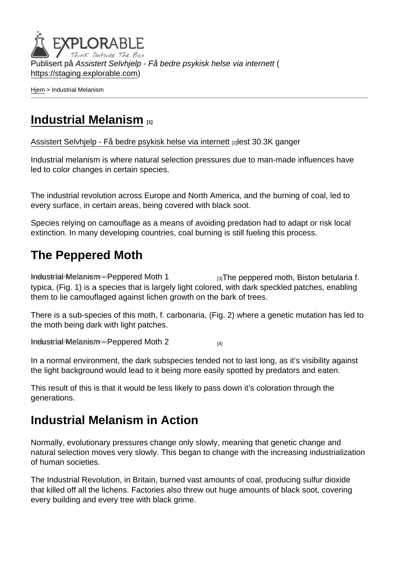Publisert på Assistert Selvhjelp - Få bedre psykisk helse via internett ( <https://staging.explorable.com>)

[Hjem](https://staging.explorable.com/) > Industrial Melanism

### [Industrial Melanism](https://staging.explorable.com/industrial-melanism) [1]

[Assistert Selvhjelp - Få bedre psykisk helse via internett](https://staging.explorable.com/en) [2]lest 30.3K ganger

Industrial melanism is where natural selection pressures due to man-made influences have led to color changes in certain species.

The industrial revolution across Europe and North America, and the burning of coal, led to every surface, in certain areas, being covered with black soot.

Species relying on camouflage as a means of avoiding predation had to adapt or risk local extinction. In many developing countries, coal burning is still fueling this process.

# The Peppered Moth

[Industrial Melanism - Peppered Moth 1](http://en.wikipedia.org/wiki/File:Biston.betularia.7200.jpg)  $\frac{1}{3}$  The peppered moth, Biston betularia f. typica, (Fig. 1) is a species that is largely light colored, with dark speckled patches, enabling them to lie camouflaged against lichen growth on the bark of trees.

There is a sub-species of this moth, f. carbonaria, (Fig. 2) where a genetic mutation has led to the moth being dark with light patches.

[Industrial Melanism - Peppered Moth 2](http://en.wikipedia.org/wiki/File:Biston.betularia.f.carbonaria.7209.jpg) Image not found or type unknown [4]

In a normal environment, the dark subspecies tended not to last long, as it's visibility against the light background would lead to it being more easily spotted by predators and eaten.

This result of this is that it would be less likely to pass down it's coloration through the generations.

## Industrial Melanism in Action

Normally, evolutionary pressures change only slowly, meaning that genetic change and natural selection moves very slowly. This began to change with the increasing industrialization of human societies.

The Industrial Revolution, in Britain, burned vast amounts of coal, producing sulfur dioxide that killed off all the lichens. Factories also threw out huge amounts of black soot, covering every building and every tree with black grime.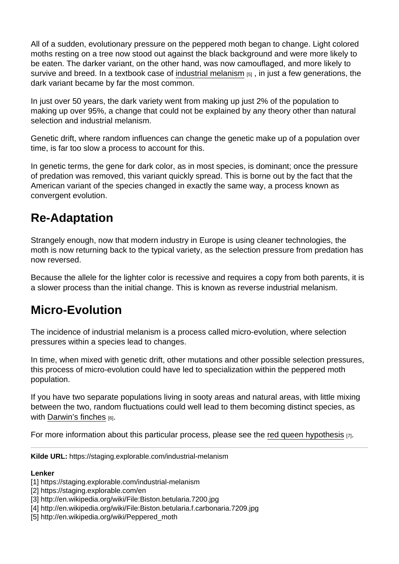All of a sudden, evolutionary pressure on the peppered moth began to change. Light colored moths resting on a tree now stood out against the black background and were more likely to be eaten. The darker variant, on the other hand, was now camouflaged, and more likely to survive and breed. In a textbook case of [industrial melanism](http://en.wikipedia.org/wiki/Peppered_moth)  $_{[5]}$ , in just a few generations, the dark variant became by far the most common.

In just over 50 years, the dark variety went from making up just 2% of the population to making up over 95%, a change that could not be explained by any theory other than natural selection and industrial melanism.

Genetic drift, where random influences can change the genetic make up of a population over time, is far too slow a process to account for this.

In genetic terms, the gene for dark color, as in most species, is dominant; once the pressure of predation was removed, this variant quickly spread. This is borne out by the fact that the American variant of the species changed in exactly the same way, a process known as convergent evolution.

## Re-Adaptation

Strangely enough, now that modern industry in Europe is using cleaner technologies, the moth is now returning back to the typical variety, as the selection pressure from predation has now reversed.

Because the allele for the lighter color is recessive and requires a copy from both parents, it is a slower process than the initial change. This is known as reverse industrial melanism.

### Micro-Evolution

The incidence of industrial melanism is a process called micro-evolution, where selection pressures within a species lead to changes.

In time, when mixed with genetic drift, other mutations and other possible selection pressures, this process of micro-evolution could have led to specialization within the peppered moth population.

If you have two separate populations living in sooty areas and natural areas, with little mixing between the two, random fluctuations could well lead to them becoming distinct species, as with [Darwin's finches](https://staging.explorable.com/darwins-finches)  $[6]$ .

For more information about this particular process, please see the [red queen hypothesis](https://staging.explorable.com/red-queen-hypothesis)  $[7]$ .

Kilde URL: https://staging.explorable.com/industrial-melanism

Lenker

- [4] http://en.wikipedia.org/wiki/File:Biston.betularia.f.carbonaria.7209.jpg
- [5] http://en.wikipedia.org/wiki/Peppered\_moth

<sup>[1]</sup> https://staging.explorable.com/industrial-melanism

<sup>[2]</sup> https://staging.explorable.com/en

<sup>[3]</sup> http://en.wikipedia.org/wiki/File:Biston.betularia.7200.jpg